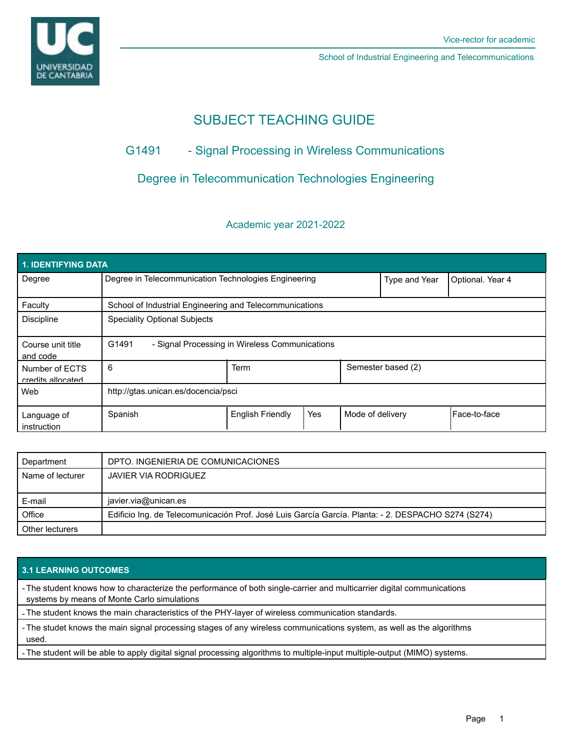

School of Industrial Engineering and Telecommunications

# SUBJECT TEACHING GUIDE

## G1491 - Signal Processing in Wireless Communications

## Degree in Telecommunication Technologies Engineering

### Academic year 2021-2022

| 1. IDENTIFYING DATA                 |                                                         |                         |     |                    |                  |              |  |
|-------------------------------------|---------------------------------------------------------|-------------------------|-----|--------------------|------------------|--------------|--|
| Degree                              | Degree in Telecommunication Technologies Engineering    |                         |     | Type and Year      | Optional. Year 4 |              |  |
| Faculty                             | School of Industrial Engineering and Telecommunications |                         |     |                    |                  |              |  |
| <b>Discipline</b>                   | <b>Speciality Optional Subjects</b>                     |                         |     |                    |                  |              |  |
| Course unit title<br>and code       | G1491<br>- Signal Processing in Wireless Communications |                         |     |                    |                  |              |  |
| Number of ECTS<br>credits allocated | 6                                                       | Term                    |     | Semester based (2) |                  |              |  |
| Web                                 | http://gtas.unican.es/docencia/psci                     |                         |     |                    |                  |              |  |
| Language of<br>instruction          | Spanish                                                 | <b>English Friendly</b> | Yes | Mode of delivery   |                  | Face-to-face |  |

| Department       | DPTO. INGENIERIA DE COMUNICACIONES                                                                 |  |
|------------------|----------------------------------------------------------------------------------------------------|--|
| Name of lecturer | JAVIER VIA RODRIGUEZ                                                                               |  |
|                  |                                                                                                    |  |
| E-mail           | javier.via@unican.es                                                                               |  |
| Office           | Edificio Ing. de Telecomunicación Prof. José Luis García García. Planta: - 2. DESPACHO S274 (S274) |  |
| Other lecturers  |                                                                                                    |  |

#### **3.1 LEARNING OUTCOMES**

- The student knows how to characterize the performance of both single-carrier and multicarrier digital communications systems by means of Monte Carlo simulations

- The student knows the main characteristics of the PHY-layer of wireless communication standards.

- The studet knows the main signal processing stages of any wireless communications system, as well as the algorithms used.

- The student will be able to apply digital signal processing algorithms to multiple-input multiple-output (MIMO) systems.